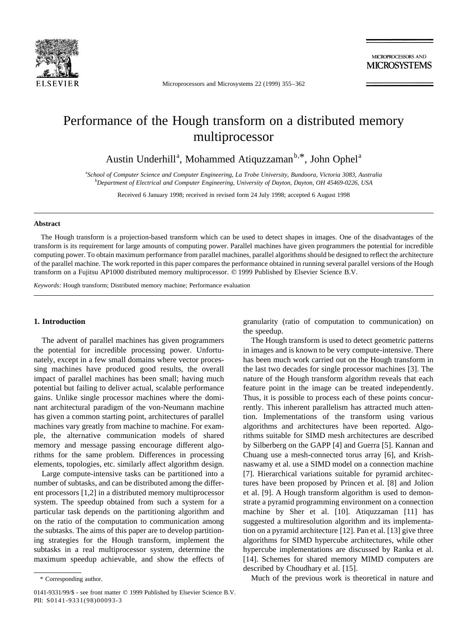

MICROPROCESSORS AND **MICROSYSTEMS** 

Microprocessors and Microsystems 22 (1999) 355–362

# Performance of the Hough transform on a distributed memory multiprocessor

Austin Underhill<sup>a</sup>, Mohammed Atiquzzaman<sup>b,\*</sup>, John Ophel<sup>a</sup>

<sup>a</sup> School of Computer Science and Computer Engineering, La Trobe University, Bundoora, Victoria 3083, Australia b *Department of Electrical and Computer Engineering, University of Dayton, Dayton, OH 45469-0226, USA*

Received 6 January 1998; received in revised form 24 July 1998; accepted 6 August 1998

# **Abstract**

The Hough transform is a projection-based transform which can be used to detect shapes in images. One of the disadvantages of the transform is its requirement for large amounts of computing power. Parallel machines have given programmers the potential for incredible computing power. To obtain maximum performance from parallel machines, parallel algorithms should be designed to reflect the architecture of the parallel machine. The work reported in this paper compares the performance obtained in running several parallel versions of the Hough transform on a Fujitsu AP1000 distributed memory multiprocessor. q 1999 Published by Elsevier Science B.V.

*Keywords:* Hough transform; Distributed memory machine; Performance evaluation

#### **1. Introduction**

The advent of parallel machines has given programmers the potential for incredible processing power. Unfortunately, except in a few small domains where vector processing machines have produced good results, the overall impact of parallel machines has been small; having much potential but failing to deliver actual, scalable performance gains. Unlike single processor machines where the dominant architectural paradigm of the von-Neumann machine has given a common starting point, architectures of parallel machines vary greatly from machine to machine. For example, the alternative communication models of shared memory and message passing encourage different algorithms for the same problem. Differences in processing elements, topologies, etc. similarly affect algorithm design.

Large compute-intensive tasks can be partitioned into a number of subtasks, and can be distributed among the different processors [1,2] in a distributed memory multiprocessor system. The speedup obtained from such a system for a particular task depends on the partitioning algorithm and on the ratio of the computation to communication among the subtasks. The aims of this paper are to develop partitioning strategies for the Hough transform, implement the subtasks in a real multiprocessor system, determine the maximum speedup achievable, and show the effects of granularity (ratio of computation to communication) on the speedup.

The Hough transform is used to detect geometric patterns in images and is known to be very compute-intensive. There has been much work carried out on the Hough transform in the last two decades for single processor machines [3]. The nature of the Hough transform algorithm reveals that each feature point in the image can be treated independently. Thus, it is possible to process each of these points concurrently. This inherent parallelism has attracted much attention. Implementations of the transform using various algorithms and architectures have been reported. Algorithms suitable for SIMD mesh architectures are described by Silberberg on the GAPP [4] and Guerra [5]. Kannan and Chuang use a mesh-connected torus array [6], and Krishnaswamy et al. use a SIMD model on a connection machine [7]. Hierarchical variations suitable for pyramid architectures have been proposed by Princen et al. [8] and Jolion et al. [9]. A Hough transform algorithm is used to demonstrate a pyramid programming environment on a connection machine by Sher et al. [10]. Atiquzzaman [11] has suggested a multiresolution algorithm and its implementation on a pyramid architecture [12]. Pan et al. [13] give three algorithms for SIMD hypercube architectures, while other hypercube implementations are discussed by Ranka et al. [14]. Schemes for shared memory MIMD computers are described by Choudhary et al. [15].

Much of the previous work is theoretical in nature and

<sup>\*</sup> Corresponding author.

<sup>0141-9331/99/\$ -</sup> see front matter © 1999 Published by Elsevier Science B.V. PII: S0141-9331(98)00093-3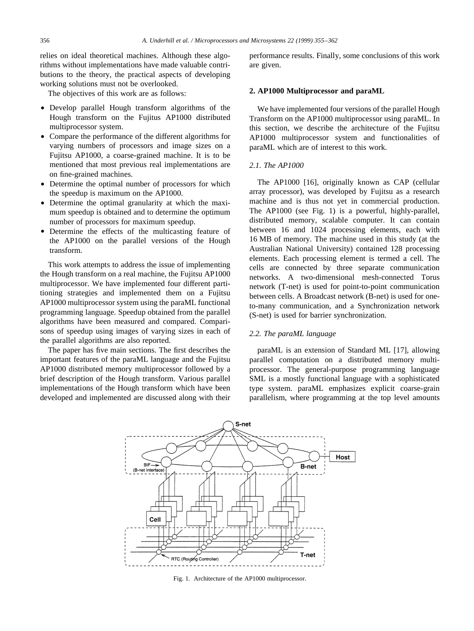relies on ideal theoretical machines. Although these algorithms without implementations have made valuable contributions to the theory, the practical aspects of developing working solutions must not be overlooked.

The objectives of this work are as follows:

- Develop parallel Hough transform algorithms of the Hough transform on the Fujitus AP1000 distributed multiprocessor system.
- Compare the performance of the different algorithms for varying numbers of processors and image sizes on a Fujitsu AP1000, a coarse-grained machine. It is to be mentioned that most previous real implementations are on fine-grained machines.
- Determine the optimal number of processors for which the speedup is maximum on the AP1000.
- Determine the optimal granularity at which the maximum speedup is obtained and to determine the optimum number of processors for maximum speedup.
- Determine the effects of the multicasting feature of the AP1000 on the parallel versions of the Hough transform.

This work attempts to address the issue of implementing the Hough transform on a real machine, the Fujitsu AP1000 multiprocessor. We have implemented four different partitioning strategies and implemented them on a Fujitsu AP1000 multiprocessor system using the paraML functional programming language. Speedup obtained from the parallel algorithms have been measured and compared. Comparisons of speedup using images of varying sizes in each of the parallel algorithms are also reported.

The paper has five main sections. The first describes the important features of the paraML language and the Fujitsu AP1000 distributed memory multiprocessor followed by a brief description of the Hough transform. Various parallel implementations of the Hough transform which have been developed and implemented are discussed along with their performance results. Finally, some conclusions of this work are given.

### **2. AP1000 Multiprocessor and paraML**

We have implemented four versions of the parallel Hough Transform on the AP1000 multiprocessor using paraML. In this section, we describe the architecture of the Fujitsu AP1000 multiprocessor system and functionalities of paraML which are of interest to this work.

#### *2.1. The AP1000*

The AP1000 [16], originally known as CAP (cellular array processor), was developed by Fujitsu as a research machine and is thus not yet in commercial production. The AP1000 (see Fig. 1) is a powerful, highly-parallel, distributed memory, scalable computer. It can contain between 16 and 1024 processing elements, each with 16 MB of memory. The machine used in this study (at the Australian National University) contained 128 processing elements. Each processing element is termed a cell. The cells are connected by three separate communication networks. A two-dimensional mesh-connected Torus network (T-net) is used for point-to-point communication between cells. A Broadcast network (B-net) is used for oneto-many communication, and a Synchronization network (S-net) is used for barrier synchronization.

# *2.2. The paraML language*

paraML is an extension of Standard ML [17], allowing parallel computation on a distributed memory multiprocessor. The general-purpose programming language SML is a mostly functional language with a sophisticated type system. paraML emphasizes explicit coarse-grain parallelism, where programming at the top level amounts



Fig. 1. Architecture of the AP1000 multiprocessor.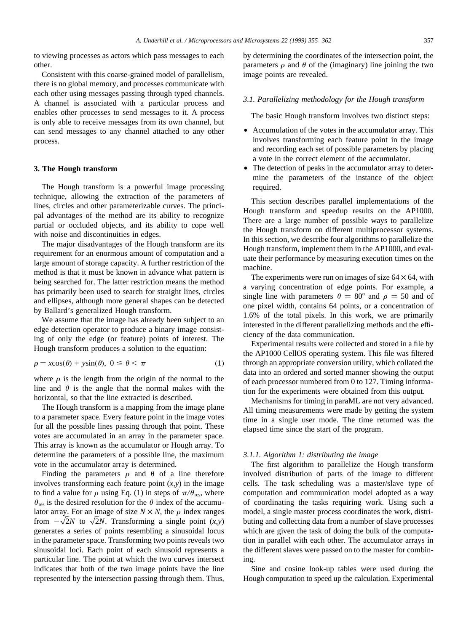to viewing processes as actors which pass messages to each other.

Consistent with this coarse-grained model of parallelism, there is no global memory, and processes communicate with each other using messages passing through typed channels. A channel is associated with a particular process and enables other processes to send messages to it. A process is only able to receive messages from its own channel, but can send messages to any channel attached to any other process.

# **3. The Hough transform**

The Hough transform is a powerful image processing technique, allowing the extraction of the parameters of lines, circles and other parameterizable curves. The principal advantages of the method are its ability to recognize partial or occluded objects, and its ability to cope well with noise and discontinuities in edges.

The major disadvantages of the Hough transform are its requirement for an enormous amount of computation and a large amount of storage capacity. A further restriction of the method is that it must be known in advance what pattern is being searched for. The latter restriction means the method has primarily been used to search for straight lines, circles and ellipses, although more general shapes can be detected by Ballard's generalized Hough transform.

We assume that the image has already been subject to an edge detection operator to produce a binary image consisting of only the edge (or feature) points of interest. The Hough transform produces a solution to the equation:

$$
\rho = x\cos(\theta) + y\sin(\theta), \ 0 \le \theta < \pi \tag{1}
$$

where  $\rho$  is the length from the origin of the normal to the line and  $\theta$  is the angle that the normal makes with the horizontal, so that the line extracted is described.

The Hough transform is a mapping from the image plane to a parameter space. Every feature point in the image votes for all the possible lines passing through that point. These votes are accumulated in an array in the parameter space. This array is known as the accumulator or Hough array. To determine the parameters of a possible line, the maximum vote in the accumulator array is determined.

Finding the parameters  $\rho$  and  $\theta$  of a line therefore involves transforming each feature point  $(x, y)$  in the image to find a value for  $\rho$  using Eq. (1) in steps of  $\pi/\theta_{\text{res}}$ , where  $\theta_{\text{res}}$  is the desired resolution for the  $\theta$  index of the accumulator array. For an image of size  $N \times N$ , the  $\rho$  index ranges from  $-\sqrt{2}N$  to  $\sqrt{2}N$ . Transforming a single point  $(x,y)$ generates a series of points resembling a sinusoidal locus in the parameter space. Transforming two points reveals two sinusoidal loci. Each point of each sinusoid represents a particular line. The point at which the two curves intersect indicates that both of the two image points have the line represented by the intersection passing through them. Thus,

by determining the coordinates of the intersection point, the parameters  $\rho$  and  $\theta$  of the (imaginary) line joining the two image points are revealed.

### *3.1. Parallelizing methodology for the Hough transform*

The basic Hough transform involves two distinct steps:

- Accumulation of the votes in the accumulator array. This involves transforming each feature point in the image and recording each set of possible parameters by placing a vote in the correct element of the accumulator.
- The detection of peaks in the accumulator array to determine the parameters of the instance of the object required.

This section describes parallel implementations of the Hough transform and speedup results on the AP1000. There are a large number of possible ways to parallelize the Hough transform on different multiprocessor systems. In this section, we describe four algorithms to parallelize the Hough transform, implement them in the AP1000, and evaluate their performance by measuring execution times on the machine.

The experiments were run on images of size  $64 \times 64$ , with a varying concentration of edge points. For example, a single line with parameters  $\theta = 80^{\circ}$  and  $\rho = 50$  and of one pixel width, contains 64 points, or a concentration of 1.6% of the total pixels. In this work, we are primarily interested in the different parallelizing methods and the efficiency of the data communication.

Experimental results were collected and stored in a file by the AP1000 CellOS operating system. This file was filtered through an appropriate conversion utility, which collated the data into an ordered and sorted manner showing the output of each processor numbered from 0 to 127. Timing information for the experiments were obtained from this output.

Mechanisms for timing in paraML are not very advanced. All timing measurements were made by getting the system time in a single user mode. The time returned was the elapsed time since the start of the program.

#### *3.1.1. Algorithm 1: distributing the image*

The first algorithm to parallelize the Hough transform involved distribution of parts of the image to different cells. The task scheduling was a master/slave type of computation and communication model adopted as a way of coordinating the tasks requiring work. Using such a model, a single master process coordinates the work, distributing and collecting data from a number of slave processes which are given the task of doing the bulk of the computation in parallel with each other. The accumulator arrays in the different slaves were passed on to the master for combining.

Sine and cosine look-up tables were used during the Hough computation to speed up the calculation. Experimental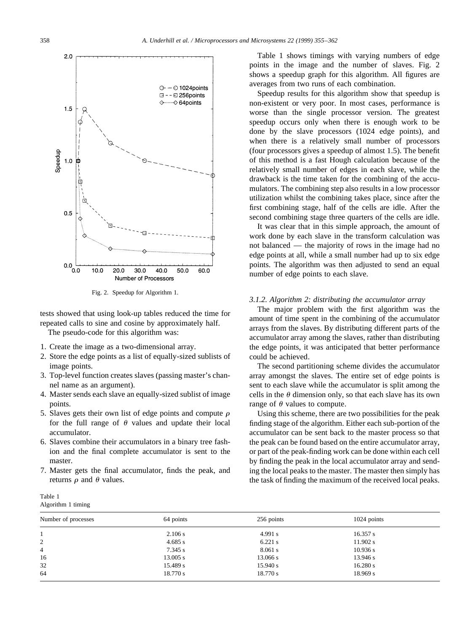

Fig. 2. Speedup for Algorithm 1.

tests showed that using look-up tables reduced the time for repeated calls to sine and cosine by approximately half.

The pseudo-code for this algorithm was:

- 1. Create the image as a two-dimensional array.
- 2. Store the edge points as a list of equally-sized sublists of image points.
- 3. Top-level function creates slaves (passing master's channel name as an argument).
- 4. Master sends each slave an equally-sized sublist of image points.
- 5. Slaves gets their own list of edge points and compute  $\rho$ for the full range of  $\theta$  values and update their local accumulator.
- 6. Slaves combine their accumulators in a binary tree fashion and the final complete accumulator is sent to the master.
- 7. Master gets the final accumulator, finds the peak, and returns  $\rho$  and  $\theta$  values.

Table 1 shows timings with varying numbers of edge points in the image and the number of slaves. Fig. 2 shows a speedup graph for this algorithm. All figures are averages from two runs of each combination.

Speedup results for this algorithm show that speedup is non-existent or very poor. In most cases, performance is worse than the single processor version. The greatest speedup occurs only when there is enough work to be done by the slave processors (1024 edge points), and when there is a relatively small number of processors (four processors gives a speedup of almost 1.5). The benefit of this method is a fast Hough calculation because of the relatively small number of edges in each slave, while the drawback is the time taken for the combining of the accumulators. The combining step also results in a low processor utilization whilst the combining takes place, since after the first combining stage, half of the cells are idle. After the second combining stage three quarters of the cells are idle.

It was clear that in this simple approach, the amount of work done by each slave in the transform calculation was not balanced — the majority of rows in the image had no edge points at all, while a small number had up to six edge points. The algorithm was then adjusted to send an equal number of edge points to each slave.

# *3.1.2. Algorithm 2: distributing the accumulator array*

The major problem with the first algorithm was the amount of time spent in the combining of the accumulator arrays from the slaves. By distributing different parts of the accumulator array among the slaves, rather than distributing the edge points, it was anticipated that better performance could be achieved.

The second partitioning scheme divides the accumulator array amongst the slaves. The entire set of edge points is sent to each slave while the accumulator is split among the cells in the  $\theta$  dimension only, so that each slave has its own range of  $\theta$  values to compute.

Using this scheme, there are two possibilities for the peak finding stage of the algorithm. Either each sub-portion of the accumulator can be sent back to the master process so that the peak can be found based on the entire accumulator array, or part of the peak-finding work can be done within each cell by finding the peak in the local accumulator array and sending the local peaks to the master. The master then simply has the task of finding the maximum of the received local peaks.

| Table 1            |  |
|--------------------|--|
| Algorithm 1 timing |  |

| Number of processes | 64 points | 256 points | 1024 points |  |
|---------------------|-----------|------------|-------------|--|
|                     | 2.106 s   | 4.991 $s$  | 16.357 s    |  |
| 2                   | $4.685$ s | 6.221 s    | 11.902 s    |  |
| $\overline{4}$      | 7.345 s   | 8.061 s    | 10.936 s    |  |
| 16                  | 13.005 s  | 13.066 s   | 13.946 s    |  |
| 32                  | 15.489 s  | 15.940 s   | 16.280 s    |  |
| 64                  | 18.770 s  | 18.770 s   | 18.969 s    |  |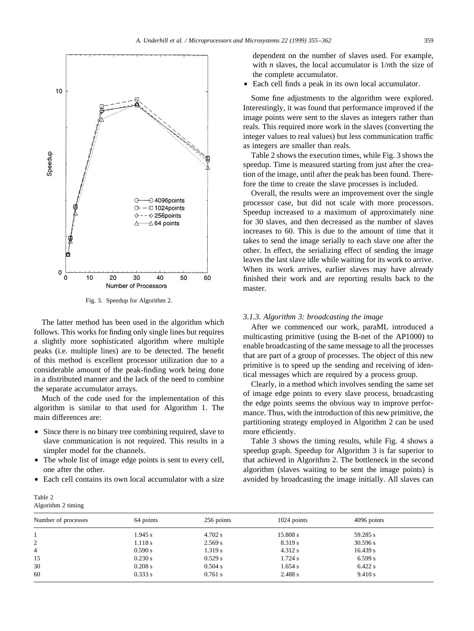

Fig. 3. Speedup for Algorithm 2.

The latter method has been used in the algorithm which follows. This works for finding only single lines but requires a slightly more sophisticated algorithm where multiple peaks (i.e. multiple lines) are to be detected. The benefit of this method is excellent processor utilization due to a considerable amount of the peak-finding work being done in a distributed manner and the lack of the need to combine the separate accumulator arrays.

Much of the code used for the implementation of this algorithm is similar to that used for Algorithm 1. The main differences are:

- Since there is no binary tree combining required, slave to slave communication is not required. This results in a simpler model for the channels.
- The whole list of image edge points is sent to every cell, one after the other.
- Each cell contains its own local accumulator with a size

dependent on the number of slaves used. For example, with *n* slaves, the local accumulator is  $1/nt$ h the size of the complete accumulator.

Each cell finds a peak in its own local accumulator.

Some fine adjustments to the algorithm were explored. Interestingly, it was found that performance improved if the image points were sent to the slaves as integers rather than reals. This required more work in the slaves (converting the integer values to real values) but less communication traffic as integers are smaller than reals.

Table 2 shows the execution times, while Fig. 3 shows the speedup. Time is measured starting from just after the creation of the image, until after the peak has been found. Therefore the time to create the slave processes is included.

Overall, the results were an improvement over the single processor case, but did not scale with more processors. Speedup increased to a maximum of approximately nine for 30 slaves, and then decreased as the number of slaves increases to 60. This is due to the amount of time that it takes to send the image serially to each slave one after the other. In effect, the serializing effect of sending the image leaves the last slave idle while waiting for its work to arrive. When its work arrives, earlier slaves may have already finished their work and are reporting results back to the master.

#### *3.1.3. Algorithm 3: broadcasting the image*

After we commenced our work, paraML introduced a multicasting primitive (using the B-net of the AP1000) to enable broadcasting of the same message to all the processes that are part of a group of processes. The object of this new primitive is to speed up the sending and receiving of identical messages which are required by a process group.

Clearly, in a method which involves sending the same set of image edge points to every slave process, broadcasting the edge points seems the obvious way to improve performance. Thus, with the introduction of this new primitive, the partitioning strategy employed in Algorithm 2 can be used more efficiently.

Table 3 shows the timing results, while Fig. 4 shows a speedup graph. Speedup for Algorithm 3 is far superior to that achieved in Algorithm 2. The bottleneck in the second algorithm (slaves waiting to be sent the image points) is avoided by broadcasting the image initially. All slaves can

| Table 2            |  |
|--------------------|--|
| Algorithm 2 timing |  |

| Number of processes | 64 points<br>256 points |         | 1024 points | 4096 points |  |
|---------------------|-------------------------|---------|-------------|-------------|--|
|                     | 1.945 s                 | 4.702 s | 15.808 s    | 59.285 s    |  |
| 2                   | 1.118 s                 | 2.569 s | 8.319 s     | 30.596 s    |  |
| 4                   | 0.590 s                 | 1.319 s | 4.312 s     | 16.439 s    |  |
| 15                  | 0.230 s                 | 0.529 s | 1.724 s     | 6.599 s     |  |
| 30                  | 0.208 s                 | 0.504 s | 1.654 s     | 6.422 s     |  |
| 60                  | 0.333 s                 | 0.761 s | 2.488 s     | 9.410 s     |  |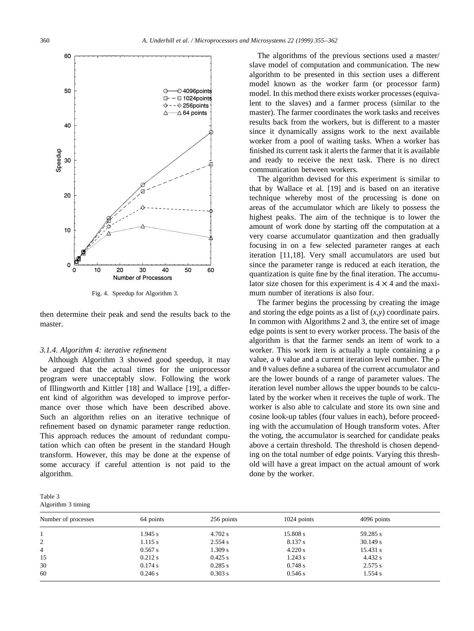

Fig. 4. Speedup for Algorithm 3.

then determine their peak and send the results back to the master.

#### *3.1.4. Algorithm 4: iterative refinement*

Although Algorithm 3 showed good speedup, it may be argued that the actual times for the uniprocessor program were unacceptably slow. Following the work of Illingworth and Kittler [18] and Wallace [19], a different kind of algorithm was developed to improve performance over those which have been described above. Such an algorithm relies on an iterative technique of refinement based on dynamic parameter range reduction. This approach reduces the amount of redundant computation which can often be present in the standard Hough transform. However, this may be done at the expense of some accuracy if careful attention is not paid to the algorithm.

| Table 3            |  |
|--------------------|--|
| Algorithm 3 timing |  |

The algorithms of the previous sections used a master/ slave model of computation and communication. The new algorithm to be presented in this section uses a different model known as the worker farm (or processor farm) model. In this method there exists worker processes (equivalent to the slaves) and a farmer process (similar to the master). The farmer coordinates the work tasks and receives results back from the workers, but is different to a master since it dynamically assigns work to the next available worker from a pool of waiting tasks. When a worker has finished its current task it alerts the farmer that it is available and ready to receive the next task. There is no direct communication between workers.

The algorithm devised for this experiment is similar to that by Wallace et al. [19] and is based on an iterative technique whereby most of the processing is done on areas of the accumulator which are likely to possess the highest peaks. The aim of the technique is to lower the amount of work done by starting off the computation at a very coarse accumulator quantization and then gradually focusing in on a few selected parameter ranges at each iteration [11,18]. Very small accumulators are used but since the parameter range is reduced at each iteration, the quantization is quite fine by the final iteration. The accumulator size chosen for this experiment is  $4 \times 4$  and the maximum number of iterations is also four.

The farmer begins the processing by creating the image and storing the edge points as a list of  $(x, y)$  coordinate pairs. In common with Algorithms 2 and 3, the entire set of image edge points is sent to every worker process. The basis of the algorithm is that the farmer sends an item of work to a worker. This work item is actually a tuple containing a  $\rho$ value, a  $\theta$  value and a current iteration level number. The  $\rho$ and  $\theta$  values define a subarea of the current accumulator and are the lower bounds of a range of parameter values. The iteration level number allows the upper bounds to be calculated by the worker when it receives the tuple of work. The worker is also able to calculate and store its own sine and cosine look-up tables (four values in each), before proceeding with the accumulation of Hough transform votes. After the voting, the accumulator is searched for candidate peaks above a certain threshold. The threshold is chosen depending on the total number of edge points. Varying this threshold will have a great impact on the actual amount of work done by the worker.

| Number of processes | 64 points | 256 points | 1024 points | 4096 points |  |
|---------------------|-----------|------------|-------------|-------------|--|
|                     | 1.945 s   | 4.702 s    | 15.808 s    | 59.285 s    |  |
| 2                   | 1.115 s   | 2.554 s    | 8.137 s     | 30.149 s    |  |
| 4                   | 0.567 s   | 1.309 s    | 4.220 s     | 15.431 s    |  |
| 15                  | 0.212 s   | $0.425$ s  | 1.243 s     | 4.432 s     |  |
| 30                  | 0.174 s   | $0.285$ s  | 0.748 s     | 2.575 s     |  |
| 60                  | 0.246 s   | 0.303 s    | 0.546 s     | 1.554 s     |  |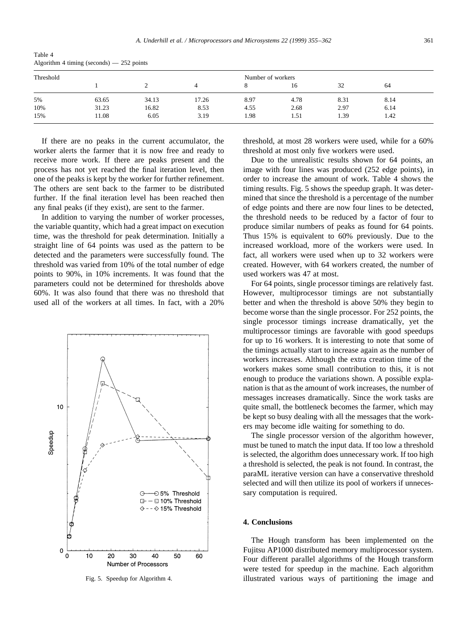Table 4 Algorithm 4 timing (seconds) — 252 points

| Threshold |       |       |       |      | Number of workers |      |      |  |
|-----------|-------|-------|-------|------|-------------------|------|------|--|
|           |       |       | 4     |      | 16                | 32   | 64   |  |
| 5%        | 63.65 | 34.13 | 17.26 | 8.97 | 4.78              | 8.31 | 8.14 |  |
| 10%       | 31.23 | 16.82 | 8.53  | 4.55 | 2.68              | 2.97 | 6.14 |  |
| 15%       | 11.08 | 6.05  | 3.19  | 1.98 | 1.51              | 1.39 | 1.42 |  |

If there are no peaks in the current accumulator, the worker alerts the farmer that it is now free and ready to receive more work. If there are peaks present and the process has not yet reached the final iteration level, then one of the peaks is kept by the worker for further refinement. The others are sent back to the farmer to be distributed further. If the final iteration level has been reached then any final peaks (if they exist), are sent to the farmer.

In addition to varying the number of worker processes, the variable quantity, which had a great impact on execution time, was the threshold for peak determination. Initially a straight line of 64 points was used as the pattern to be detected and the parameters were successfully found. The threshold was varied from 10% of the total number of edge points to 90%, in 10% increments. It was found that the parameters could not be determined for thresholds above 60%. It was also found that there was no threshold that used all of the workers at all times. In fact, with a 20%



Fig. 5. Speedup for Algorithm 4.

threshold, at most 28 workers were used, while for a 60% threshold at most only five workers were used.

Due to the unrealistic results shown for 64 points, an image with four lines was produced (252 edge points), in order to increase the amount of work. Table 4 shows the timing results. Fig. 5 shows the speedup graph. It was determined that since the threshold is a percentage of the number of edge points and there are now four lines to be detected, the threshold needs to be reduced by a factor of four to produce similar numbers of peaks as found for 64 points. Thus 15% is equivalent to 60% previously. Due to the increased workload, more of the workers were used. In fact, all workers were used when up to 32 workers were created. However, with 64 workers created, the number of used workers was 47 at most.

For 64 points, single processor timings are relatively fast. However, multiprocessor timings are not substantially better and when the threshold is above 50% they begin to become worse than the single processor. For 252 points, the single processor timings increase dramatically, yet the multiprocessor timings are favorable with good speedups for up to 16 workers. It is interesting to note that some of the timings actually start to increase again as the number of workers increases. Although the extra creation time of the workers makes some small contribution to this, it is not enough to produce the variations shown. A possible explanation is that as the amount of work increases, the number of messages increases dramatically. Since the work tasks are quite small, the bottleneck becomes the farmer, which may be kept so busy dealing with all the messages that the workers may become idle waiting for something to do.

The single processor version of the algorithm however, must be tuned to match the input data. If too low a threshold is selected, the algorithm does unnecessary work. If too high a threshold is selected, the peak is not found. In contrast, the paraML iterative version can have a conservative threshold selected and will then utilize its pool of workers if unnecessary computation is required.

#### **4. Conclusions**

The Hough transform has been implemented on the Fujitsu AP1000 distributed memory multiprocessor system. Four different parallel algorithms of the Hough transform were tested for speedup in the machine. Each algorithm illustrated various ways of partitioning the image and